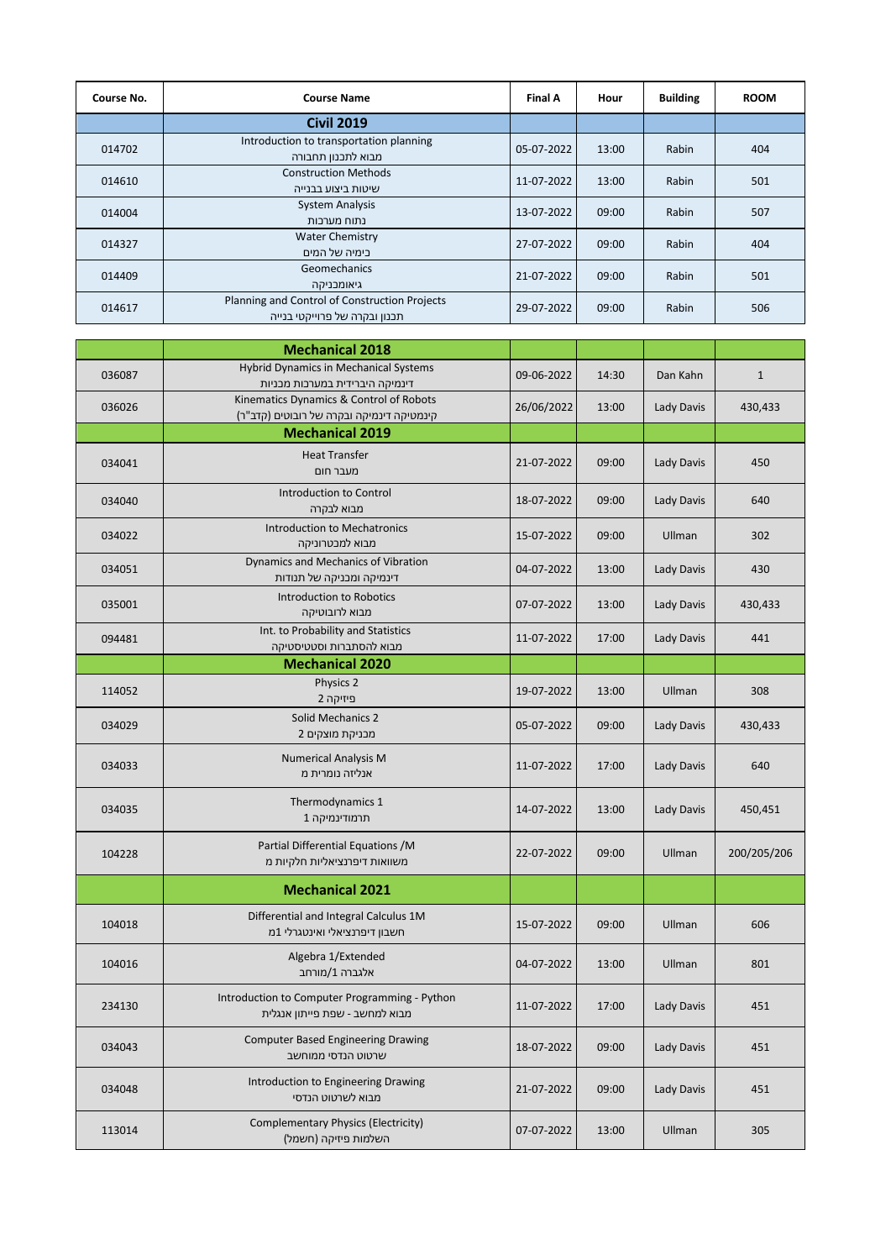| Course No. | <b>Course Name</b>                                                             | <b>Final A</b> | Hour  | <b>Building</b> | <b>ROOM</b> |
|------------|--------------------------------------------------------------------------------|----------------|-------|-----------------|-------------|
|            | <b>Civil 2019</b>                                                              |                |       |                 |             |
| 014702     | Introduction to transportation planning<br>מבוא לתכנון תחבורה                  | 05-07-2022     | 13:00 | Rabin           | 404         |
| 014610     | <b>Construction Methods</b><br>שיטות ביצוע בבנייה                              | 11-07-2022     | 13:00 | Rabin           | 501         |
| 014004     | <b>System Analysis</b><br>נתוח מערכות                                          | 13-07-2022     | 09:00 | Rabin           | 507         |
| 014327     | <b>Water Chemistry</b><br>בימיה של המים                                        | 27-07-2022     | 09:00 | Rabin           | 404         |
| 014409     | Geomechanics<br>גיאומבניקה                                                     | 21-07-2022     | 09:00 | Rabin           | 501         |
| 014617     | Planning and Control of Construction Projects<br>תכנון ובקרה של פרוייקטי בנייה | 29-07-2022     | 09:00 | Rabin           | 506         |

|        | <b>Mechanical 2018</b>                                                               |            |       |            |              |
|--------|--------------------------------------------------------------------------------------|------------|-------|------------|--------------|
| 036087 | Hybrid Dynamics in Mechanical Systems<br>דינמיקה היברידית במערכות מכניות             | 09-06-2022 | 14:30 | Dan Kahn   | $\mathbf{1}$ |
| 036026 | Kinematics Dynamics & Control of Robots<br>קינמטיקה דינמיקה ובקרה של רובוטים (קדב"ר) | 26/06/2022 | 13:00 | Lady Davis | 430,433      |
|        | <b>Mechanical 2019</b>                                                               |            |       |            |              |
| 034041 | <b>Heat Transfer</b><br>מעבר חום                                                     | 21-07-2022 | 09:00 | Lady Davis | 450          |
| 034040 | Introduction to Control<br>מבוא לבקרה                                                | 18-07-2022 | 09:00 | Lady Davis | 640          |
| 034022 | <b>Introduction to Mechatronics</b><br>מבוא למכטרוניקה                               | 15-07-2022 | 09:00 | Ullman     | 302          |
| 034051 | Dynamics and Mechanics of Vibration<br>דינמיקה ומכניקה של תנודות                     | 04-07-2022 | 13:00 | Lady Davis | 430          |
| 035001 | Introduction to Robotics<br>מבוא לרובוטיקה                                           | 07-07-2022 | 13:00 | Lady Davis | 430,433      |
| 094481 | Int. to Probability and Statistics<br>מבוא להסתברות וסטטיסטיקה                       | 11-07-2022 | 17:00 | Lady Davis | 441          |
|        | <b>Mechanical 2020</b>                                                               |            |       |            |              |
| 114052 | Physics 2<br>פיזיקה 2                                                                | 19-07-2022 | 13:00 | Ullman     | 308          |
| 034029 | <b>Solid Mechanics 2</b><br>מבניקת מוצקים 2                                          | 05-07-2022 | 09:00 | Lady Davis | 430,433      |
| 034033 | <b>Numerical Analysis M</b><br>אנליזה נומרית מ                                       | 11-07-2022 | 17:00 | Lady Davis | 640          |
| 034035 | Thermodynamics 1<br>תרמודינמיקה 1                                                    | 14-07-2022 | 13:00 | Lady Davis | 450,451      |
| 104228 | Partial Differential Equations /M<br>משוואות דיפרנציאליות חלקיות מ                   | 22-07-2022 | 09:00 | Ullman     | 200/205/206  |
|        | <b>Mechanical 2021</b>                                                               |            |       |            |              |
| 104018 | Differential and Integral Calculus 1M<br>חשבון דיפרנציאלי ואינטגרלי 1מ               | 15-07-2022 | 09:00 | Ullman     | 606          |
| 104016 | Algebra 1/Extended<br>אלגברה 1/מורחב                                                 | 04-07-2022 | 13:00 | Ullman     | 801          |
| 234130 | Introduction to Computer Programming - Python<br>מבוא למחשב - שפת פייתון אנגלית      | 11-07-2022 | 17:00 | Lady Davis | 451          |
| 034043 | <b>Computer Based Engineering Drawing</b><br>שרטוט הנדסי ממוחשב                      | 18-07-2022 | 09:00 | Lady Davis | 451          |
| 034048 | Introduction to Engineering Drawing<br>מבוא לשרטוט הנדסי                             | 21-07-2022 | 09:00 | Lady Davis | 451          |
| 113014 | Complementary Physics (Electricity)<br>השלמות פיזיקה (חשמל)                          | 07-07-2022 | 13:00 | Ullman     | 305          |